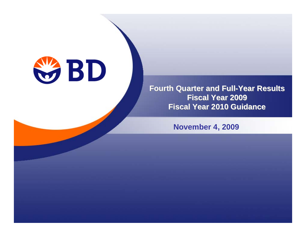

#### **Fourth Quarter and Full-Year Results Fourth Quarter and Full-Year Results Fiscal Year 2009 Fiscal Year 2009 Fiscal Year 2010 Guidance Fiscal Year 2010 Guidance**

**November 4, 2009**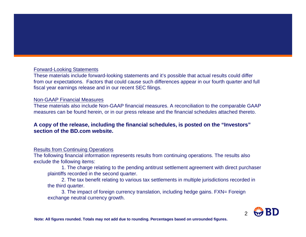#### Forward-Looking Statements

These materials include forward-looking statements and it's possible that actual results could differ from our expectations. Factors that could cause such differences appear in our fourth quarter and full fiscal year earnings release and in our recent SEC filings.

#### Non-GAAP Financial Measures

These materials also include Non-GAAP financial measures. A reconciliation to the comparable GAAP measures can be found herein, or in our press release and the financial schedules attached thereto.

#### **A copy of the release, including the financial schedules, is posted on the "Investors" section of the BD.com website.**

#### Results from Continuing Operations

The following financial information represents results from continuing operations. The results also exclude the following items:

1. The charge relating to the pending antitrust settlement agreement with direct purchaser plaintiffs recorded in the second quarter.

2. The tax benefit relating to various tax settlements in multiple jurisdictions recorded in the third quarter.

3. The impact of foreign currency translation, including hedge gains. FXN= Foreign exchange neutral currency growth.



**Note: All figures rounded. Totals may not add due to rounding. Percentages based on unrounded figures.**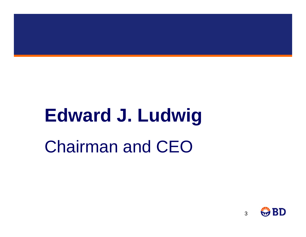# **Edward J. Ludwig**

Chairman and CEO

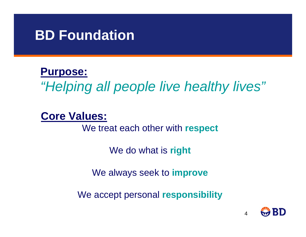## **BD Foundation**

#### **Purpose:**

*"Helping all people live healthy lives"*

#### **Core Values:**

We treat each other with **respect**

We do what is **right**

We always seek to **improve**

We accept personal **responsibility**

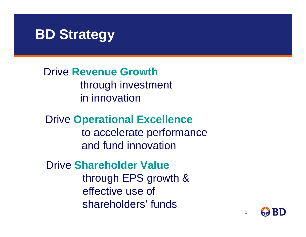## **BD Strategy**

Drive **Revenue Growth**through investment in innovation

Drive **Operational Excellence** to accelerate performance and fund innovation

Drive **Shareholder Value** through EPS growth & effective use of shareholders' funds

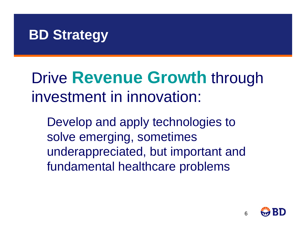## **BD Strategy**

# Drive **Revenue Growth** through investment in innovation:

Develop and apply technologies to solve emerging, sometimes underappreciated, but important and fundamental healthcare problems

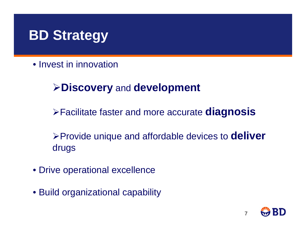## **BD Strategy**

• Invest in innovation

#### ¾**Discovery** and **development**

<sup>¾</sup>Facilitate faster and more accurate **diagnosis**

<sup>¾</sup>Provide unique and affordable devices to **deliver** drugs

- Drive operational excellence
- Build organizational capability

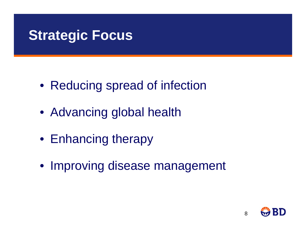## **Strategic Focus**

- Reducing spread of infection
- Advancing global health
- Enhancing therapy
- Improving disease management

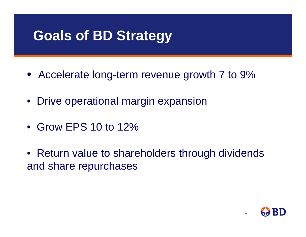## **Goals of BD Strategy**

- Accelerate long-term revenue growth 7 to 9%
- Drive operational margin expansion
- Grow EPS 10 to 12%
- Return value to shareholders through dividends and share repurchases

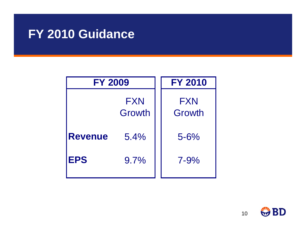#### **FY 2010 Guidance**

| <b>FY 2009</b> | <b>FY 2010</b>       |                      |
|----------------|----------------------|----------------------|
|                | <b>FXN</b><br>Growth | <b>FXN</b><br>Growth |
| <b>Revenue</b> | 5.4%                 | $5 - 6%$             |
| <b>EPS</b>     | 9.7%                 | $7 - 9%$             |

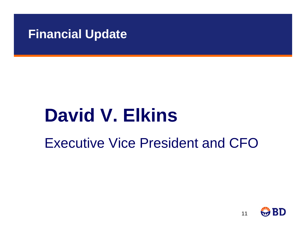#### **Financial Update**

# **David V. Elkins**

Executive Vice President and CFO

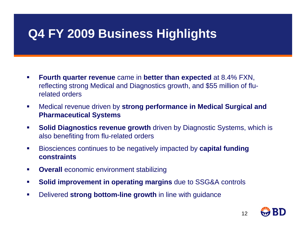### **Q4 FY 2009 Business Highlights**

- $\mathcal{L}_{\mathcal{A}}$  **Fourth quarter revenue** came in **better than expected** at 8.4% FXN, reflecting strong Medical and Diagnostics growth, and \$55 million of flurelated orders
- $\mathcal{L}_{\mathcal{A}}$  Medical revenue driven by **strong performance in Medical Surgical and Pharmaceutical Systems**
- $\mathcal{L}_{\mathcal{A}}$ **Solid Diagnostics revenue growth** driven by Diagnostic Systems, which is also benefiting from flu-related orders
- $\blacksquare$  Biosciences continues to be negatively impacted by **capital funding constraints**
- $\mathcal{L}_{\mathcal{A}}$ **Overall** economic environment stabilizing
- $\mathcal{L}_{\mathcal{A}}$ **Solid improvement in operating margins** due to SSG&A controls
- $\mathcal{L}_{\mathcal{A}}$ Delivered **strong bottom-line growth** in line with guidance

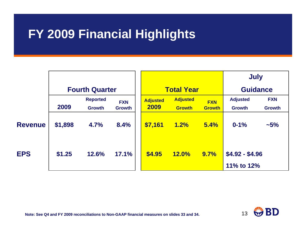### **FY 2009 Financial Highlights**

|                |                       |                 |               |                   |                 |               | <b>July</b>     |               |
|----------------|-----------------------|-----------------|---------------|-------------------|-----------------|---------------|-----------------|---------------|
|                | <b>Fourth Quarter</b> |                 |               | <b>Total Year</b> |                 |               | <b>Guidance</b> |               |
|                |                       | <b>Reported</b> | <b>FXN</b>    | <b>Adjusted</b>   | <b>Adjusted</b> | <b>FXN</b>    | <b>Adjusted</b> | <b>FXN</b>    |
|                | 2009                  | <b>Growth</b>   | <b>Growth</b> | 2009              | <b>Growth</b>   | <b>Growth</b> | <b>Growth</b>   | <b>Growth</b> |
| <b>Revenue</b> | \$1,898               | 4.7%            | 8.4%          | \$7,161           | 1.2%            | 5.4%          | $0 - 1%$        | ~15%          |
| <b>EPS</b>     | \$1.25                | 12.6%           | 17.1%         | \$4.95            | <b>12.0%</b>    | 9.7%          | $$4.92 - $4.96$ |               |
|                |                       |                 |               |                   |                 |               | 11% to 12%      |               |

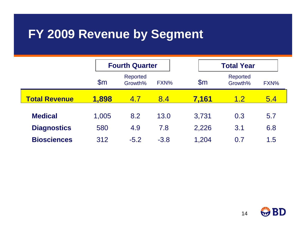#### **FY 2009 Revenue by Segment**

|                      |                | <b>Fourth Quarter</b> |        |               | <b>Total Year</b>          |      |  |
|----------------------|----------------|-----------------------|--------|---------------|----------------------------|------|--|
|                      | $\mathsf{S}$ m | Reported<br>Growth%   | FXN%   | $\mathsf{Sm}$ | <b>Reported</b><br>Growth% | FXN% |  |
| <b>Total Revenue</b> | 1,898          | 4.7                   | 8.4    | 7.161         | 1.2                        | 5.4  |  |
| <b>Medical</b>       | 1,005          | 8.2                   | 13.0   | 3,731         | 0.3                        | 5.7  |  |
| <b>Diagnostics</b>   | 580            | 4.9                   | 7.8    | 2,226         | 3.1                        | 6.8  |  |
| <b>Biosciences</b>   | 312            | $-5.2$                | $-3.8$ | 1,204         | 0.7                        | 1.5  |  |

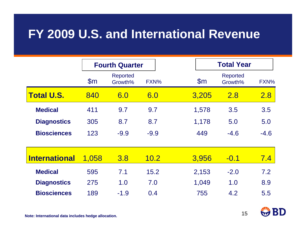#### **FY 2009 U.S. and International Revenue**

|                      |                | <b>Fourth Quarter</b>      |        |  |                | <b>Total Year</b>          |        |
|----------------------|----------------|----------------------------|--------|--|----------------|----------------------------|--------|
|                      | $\mathsf{S}$ m | <b>Reported</b><br>Growth% | FXN%   |  | $\mathsf{S}$ m | <b>Reported</b><br>Growth% | FXN%   |
| <b>Total U.S.</b>    | 840            | 6.0                        | 6.0    |  | 3,205          | 2.8                        | 2.8    |
| <b>Medical</b>       | 411            | 9.7                        | 9.7    |  | 1,578          | 3.5                        | 3.5    |
| <b>Diagnostics</b>   | 305            | 8.7                        | 8.7    |  | 1,178          | 5.0                        | 5.0    |
| <b>Biosciences</b>   | 123            | $-9.9$                     | $-9.9$ |  | 449            | $-4.6$                     | $-4.6$ |
|                      |                |                            |        |  |                |                            |        |
| <b>International</b> | 1,058          | 3.8                        | 10.2   |  | 3,956          | $-0.1$                     | 7.4    |
| <b>Medical</b>       | 595            | 7.1                        | 15.2   |  | 2,153          | $-2.0$                     | 7.2    |
| <b>Diagnostics</b>   | 275            | 1.0                        | 7.0    |  | 1,049          | 1.0                        | 8.9    |
| <b>Biosciences</b>   | 189            | $-1.9$                     | 0.4    |  | 755            | 4.2                        | 5.5    |

15

**Note: International data includes hedge allocation.**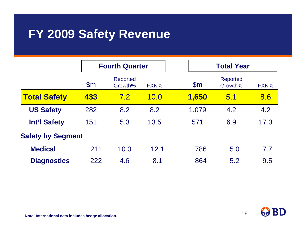#### **FY 2009 Safety Revenue**

|                          |                | <b>Fourth Quarter</b>      |      |                | <b>Total Year</b>   |      |  |  |
|--------------------------|----------------|----------------------------|------|----------------|---------------------|------|--|--|
|                          | $\mathsf{S}$ m | <b>Reported</b><br>Growth% | FXN% | $\mathsf{S}$ m | Reported<br>Growth% | FXN% |  |  |
| <b>Total Safety</b>      | 433            | <b>7.2</b>                 | 10.0 | 1,650          | 5.1                 | 8.6  |  |  |
| <b>US Safety</b>         | 282            | 8.2                        | 8.2  | 1,079          | 4.2                 | 4.2  |  |  |
| <b>Int'l Safety</b>      | 151            | 5.3                        | 13.5 | 571            | 6.9                 | 17.3 |  |  |
| <b>Safety by Segment</b> |                |                            |      |                |                     |      |  |  |
| <b>Medical</b>           | 211            | 10.0                       | 12.1 | 786            | 5.0                 | 7.7  |  |  |
| <b>Diagnostics</b>       | 222            | 4.6                        | 8.1  | 864            | 5.2                 | 9.5  |  |  |

В

16

**Note: International data includes hedge allocation.**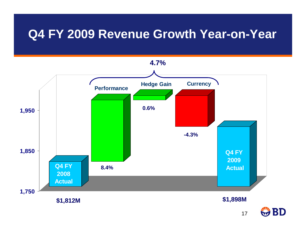#### **Q4 FY 2009 Revenue Growth Year-on-Year**



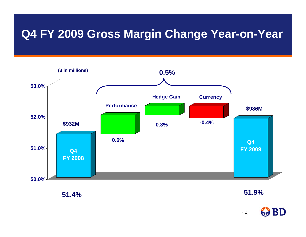#### **Q4 FY 2009 Gross Margin Change Year-on-Year**



**51.4%**

**51.9%**

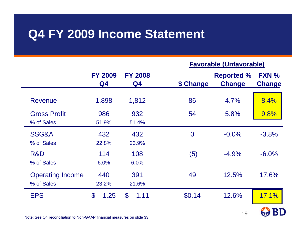#### **Q4 FY 2009 Income Statement**

#### **Favorable (Unfavorable)**

19

BD

M

|                                       | <b>FY 2009</b><br>Q4 | <b>FY 2008</b><br>Q4  | \$ Change      | <b>Reported %</b><br><b>Change</b> | FXN %<br><b>Change</b> |
|---------------------------------------|----------------------|-----------------------|----------------|------------------------------------|------------------------|
| <b>Revenue</b>                        | 1,898                | 1,812                 | 86             | 4.7%                               | 8.4%                   |
| <b>Gross Profit</b><br>% of Sales     | 986<br>51.9%         | 932<br>51.4%          | 54             | 5.8%                               | 9.8%                   |
| SSG&A<br>% of Sales                   | 432<br>22.8%         | 432<br>23.9%          | $\overline{0}$ | $-0.0%$                            | $-3.8%$                |
| R&D<br>% of Sales                     | 114<br>6.0%          | 108<br>6.0%           | (5)            | $-4.9%$                            | $-6.0%$                |
| <b>Operating Income</b><br>% of Sales | 440<br>23.2%         | 391<br>21.6%          | 49             | 12.5%                              | 17.6%                  |
| <b>EPS</b>                            | \$<br>1.25           | $\mathbf{\$}$<br>1.11 | \$0.14         | 12.6%                              | 17.1%<br><b>ATTA</b>   |

Note: See Q4 reconciliation to Non-GAAP financial measures on slide 33.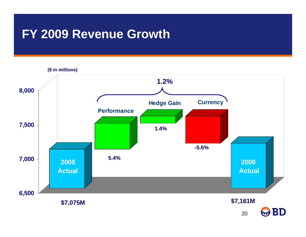#### **FY 2009 Revenue Growth**

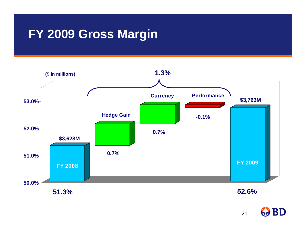#### **FY 2009 Gross Margin**



**51.3%**

**52.6%**

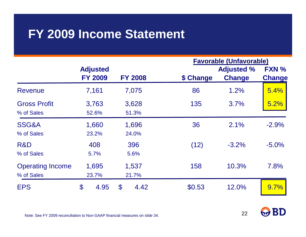#### **FY 2009 Income Statement**

|                                       |                       |                       |           | <b>Favorable (Unfavorable)</b> |               |
|---------------------------------------|-----------------------|-----------------------|-----------|--------------------------------|---------------|
|                                       | <b>Adjusted</b>       |                       |           | <b>Adjusted %</b>              | FXN %         |
|                                       | <b>FY 2009</b>        | <b>FY 2008</b>        | \$ Change | <b>Change</b>                  | <b>Change</b> |
| Revenue                               | 7,161                 | 7,075                 | 86        | 1.2%                           | 5.4%          |
| <b>Gross Profit</b><br>% of Sales     | 3,763<br>52.6%        | 3,628<br>51.3%        | 135       | 3.7%                           | 5.2%          |
| SSG&A<br>% of Sales                   | 1,660<br>23.2%        | 1,696<br>24.0%        | 36        | 2.1%                           | $-2.9%$       |
| R&D<br>% of Sales                     | 408<br>5.7%           | 396<br>5.6%           | (12)      | $-3.2%$                        | $-5.0%$       |
| <b>Operating Income</b><br>% of Sales | 1,695<br>23.7%        | 1,537<br>21.7%        | 158       | 10.3%                          | 7.8%          |
| <b>EPS</b>                            | $\mathcal{S}$<br>4.95 | $\mathbf{\$}$<br>4.42 | \$0.53    | 12.0%                          | 9.7%          |



22

Note: See FY 2009 reconciliation to Non-GAAP financial measures on slide 34.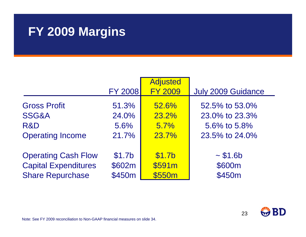#### **FY 2009 Margins**

|                             |                    | <b>Adjusted</b>    |                    |
|-----------------------------|--------------------|--------------------|--------------------|
|                             | <b>FY 2008</b>     | <b>FY 2009</b>     | July 2009 Guidance |
| <b>Gross Profit</b>         | 51.3%              | 52.6%              | 52.5% to 53.0%     |
| <b>SSG&amp;A</b>            | 24.0%              | 23.2%              | 23.0% to 23.3%     |
| R&D                         | 5.6%               | 5.7%               | 5.6% to 5.8%       |
| <b>Operating Income</b>     | 21.7%              | 23.7%              | 23.5% to 24.0%     |
|                             |                    |                    |                    |
| <b>Operating Cash Flow</b>  | \$1.7 <sub>b</sub> | \$1.7 <sub>b</sub> | ~51.6 b            |
| <b>Capital Expenditures</b> | \$602m             | \$591m             | \$600m             |
| <b>Share Repurchase</b>     | \$450m             | \$550m             | \$450m             |

23

Note: See FY 2009 reconciliation to Non-GAAP financial measures on slide 34.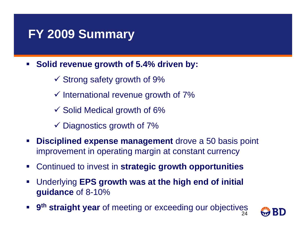#### **FY 2009 Summary**

- $\mathcal{L}_{\mathcal{A}}$  **Solid revenue growth of 5.4% driven by:**
	- $\checkmark$  Strong safety growth of 9%
	- $\checkmark$  International revenue growth of 7%
	- $\checkmark$  Solid Medical growth of 6%
	- $\checkmark$  Diagnostics growth of 7%
- $\mathcal{L}_{\mathcal{A}}$  **Disciplined expense management** drove a 50 basis point improvement in operating margin at constant currency
- $\mathcal{L}_{\mathcal{A}}$ Continued to invest in **strategic growth opportunities**
- $\mathcal{L}_{\mathcal{A}}$  Underlying **EPS growth was at the high end of initial guidance** of 8-10%
- 24**9th straight year** of meeting or exceeding our objectives

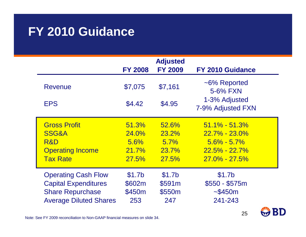#### **FY 2010 Guidance**

|                                                                                                                       | <b>FY 2008</b>                                         | <b>Adjusted</b><br><b>FY 2009</b>             | FY 2010 Guidance                                                                                    |
|-----------------------------------------------------------------------------------------------------------------------|--------------------------------------------------------|-----------------------------------------------|-----------------------------------------------------------------------------------------------------|
| <b>Revenue</b>                                                                                                        | \$7,075                                                | \$7,161                                       | ~6% Reported<br>5-6% FXN                                                                            |
| <b>EPS</b>                                                                                                            | \$4.42                                                 | \$4.95                                        | 1-3% Adjusted<br>7-9% Adjusted FXN                                                                  |
| <b>Gross Profit</b><br>SSG&A<br>R&D<br><b>Operating Income</b><br><b>Tax Rate</b>                                     | 51.3%<br>24.0%<br>5.6%<br><b>21.7%</b><br><b>27.5%</b> | 52.6%<br>23.2%<br>5.7%<br>23.7%<br>27.5%      | $51.1\% - 51.3\%$<br>$22.7\% - 23.0\%$<br>$5.6\% - 5.7\%$<br>$22.5\% - 22.7\%$<br>$27.0\% - 27.5\%$ |
| <b>Operating Cash Flow</b><br><b>Capital Expenditures</b><br><b>Share Repurchase</b><br><b>Average Diluted Shares</b> | \$1.7 <sub>b</sub><br>\$602m<br>\$450m<br>253          | \$1.7 <sub>b</sub><br>\$591m<br>\$550m<br>247 | \$1.7 <sub>b</sub><br>$$550 - $575m$<br>~1.5450m<br>241-243                                         |

25

**BD** 

Note: See FY 2009 reconciliation to Non-GAAP financial measures on slide 34.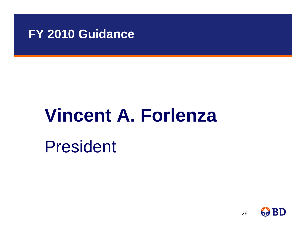#### **FY 2010 Guidance**

# **Vincent A. Forlenza**

President

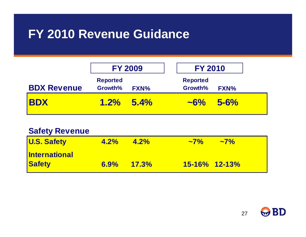#### **FY 2010 Revenue Guidance**

|                    | <b>FY 2009</b>             |             | <b>FY 2010</b>             |             |  |
|--------------------|----------------------------|-------------|----------------------------|-------------|--|
| <b>BDX Revenue</b> | <b>Reported</b><br>Growth% | <b>FXN%</b> | <b>Reported</b><br>Growth% | <b>FXN%</b> |  |
| <b>IBDX</b>        | $1.2\%$                    | 5.4%        | $\sim 6\%$                 | $5 - 6\%$   |  |

| <b>Safety Revenue</b> |               |         |                    |            |
|-----------------------|---------------|---------|--------------------|------------|
| <b>U.S. Safety</b>    | $4.2\%$       | $4.2\%$ | $\sim 7\%$         | $\sim 7\%$ |
| <b>International</b>  |               |         |                    |            |
| <b>Safety</b>         | $6.9\%$ 17.3% |         | $15 - 16\%$ 12-13% |            |

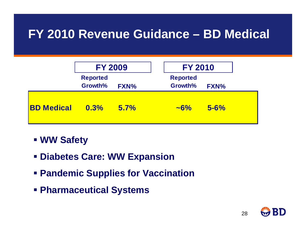#### **FY 2010 Revenue Guidance – BD Medical**

|                   | <b>FY 2009</b>             |             | <b>FY 2010</b>             |             |  |
|-------------------|----------------------------|-------------|----------------------------|-------------|--|
|                   | <b>Reported</b><br>Growth% | <b>FXN%</b> | <b>Reported</b><br>Growth% | <b>FXN%</b> |  |
| <b>BD Medical</b> | $0.3\%$                    | 5.7%        | $\sim 6\%$                 | $5 - 6%$    |  |

- **WW Safety**
- **Diabetes Care: WW Expansion**
- **Pandemic Supplies for Vaccination**
- **Pharmaceutical Systems**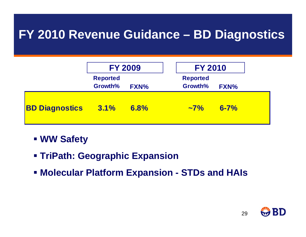#### **FY 2010 Revenue Guidance – BD Diagnostics**

|                       | <b>FY 2009</b>             |             |  | <b>FY 2010</b>             |          |  |
|-----------------------|----------------------------|-------------|--|----------------------------|----------|--|
|                       | <b>Reported</b><br>Growth% | <b>FXN%</b> |  | <b>Reported</b><br>Growth% | FXN%     |  |
| <b>BD Diagnostics</b> | $\sqrt{3.1\%}$             | 6.8%        |  | $\sim 7\%$                 | $6 - 7%$ |  |

- **WW Safety**
- **TriPath: Geographic Expansion**
- **Molecular Platform Expansion - STDs and HAIs**

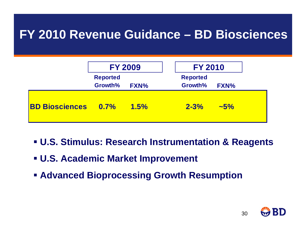#### **FY 2010 Revenue Guidance – BD Biosciences**

|                            | <b>FY 2009</b>             |             |  | <b>FY 2010</b>             |             |  |
|----------------------------|----------------------------|-------------|--|----------------------------|-------------|--|
|                            | <b>Reported</b><br>Growth% | <b>FXN%</b> |  | <b>Reported</b><br>Growth% | <b>FXN%</b> |  |
| <b>BD Biosciences 0.7%</b> |                            | 1.5%        |  | $2 - 3%$                   | $\sim 5\%$  |  |

- **U.S. Stimulus: Research Instrumentation & Reagents**
- **U.S. Academic Market Improvement**
- **Advanced Bioprocessing Growth Resumption**

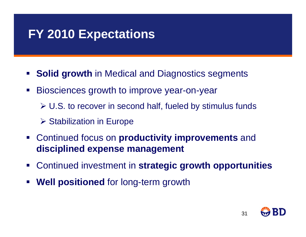#### **FY 2010 Expectations**

- $\mathcal{L}_{\mathcal{A}}$ **Solid growth** in Medical and Diagnostics segments
- Biosciences growth to improve year-on-year
	- ¾ U.S. to recover in second half, fueled by stimulus funds
	- **≻ Stabilization in Europe**
- $\mathcal{L}^{\mathcal{A}}$  Continued focus on **productivity improvements** and **disciplined expense management**
- $\mathcal{L}$ Continued investment in **strategic growth opportunities**
- **Well positioned** for long-term growth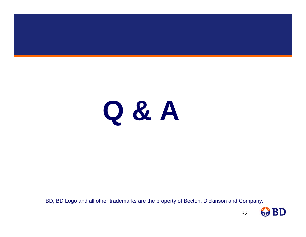

BD, BD Logo and all other trademarks are the property of Becton, Dickinson and Company.

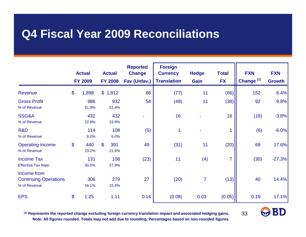#### **Q4 Fiscal Year 2009 Reconciliations**

|                                                             |                           | <b>Actual</b><br><b>FY 2009</b> | <b>Actual</b><br><b>FY 2008</b> | <b>Reported</b><br><b>Change</b><br>Fav (Unfav.) | <b>Foreign</b><br><b>Currency</b><br><b>Translation</b> | <b>Hedge</b><br>Gain | <b>Total</b><br><b>FX</b> | <b>FXN</b><br>Change <sup>(1)</sup> | <b>FXN</b><br><b>Growth</b> |
|-------------------------------------------------------------|---------------------------|---------------------------------|---------------------------------|--------------------------------------------------|---------------------------------------------------------|----------------------|---------------------------|-------------------------------------|-----------------------------|
| Revenue                                                     | $\boldsymbol{\mathsf{S}}$ | 1,898                           | $\mathcal{S}$<br>1,812          | 86                                               | (77)                                                    | 11                   | (66)                      | 152                                 | 8.4%                        |
| <b>Gross Profit</b><br>% of Revenue                         |                           | 986<br>51.9%                    | 932<br>51.4%                    | 54                                               | (49)                                                    | 11                   | (38)                      | 92                                  | 9.8%                        |
| SSG&A<br>% of Revenue                                       |                           | 432<br>22.8%                    | 432<br>23.9%                    |                                                  | 16                                                      |                      | 16                        | (16)                                | $-3.8%$                     |
| R&D<br>% of Revenue                                         |                           | 114<br>6.0%                     | 108<br>6.0%                     | (5)                                              | 1                                                       |                      |                           | (6)                                 | $-6.0%$                     |
| <b>Operating Income</b><br>% of Revenue                     | $\boldsymbol{\mathsf{S}}$ | 440<br>23.2%                    | $\mathfrak{L}$<br>391<br>21.6%  | 49                                               | (31)                                                    | 11                   | (20)                      | 69                                  | 17.6%                       |
| <b>Income Tax</b><br><b>Effective Tax Rate</b>              |                           | 131<br>30.0%                    | 108<br>27.9%                    | (23)                                             | 11                                                      | (4)                  | $\overline{7}$            | (30)                                | $-27.3%$                    |
| Income from<br><b>Continuing Operations</b><br>% of Revenue |                           | 306<br>16.1%                    | 279<br>15.4%                    | 27                                               | (20)                                                    | $\overline{7}$       | (13)                      | 40                                  | 14.4%                       |
| <b>EPS</b>                                                  | $\boldsymbol{\mathsf{S}}$ | 1.25                            | 1.11                            | 0.14                                             | (0.08)                                                  | 0.03                 | (0.05)                    | 0.19                                | 17.1%                       |

**(1) Represents the reported change excluding foreign currency translation impact and associated hedging gains. Note: All figures rounded. Totals may not add due to rounding. Percentages based on non-rounded figures.**

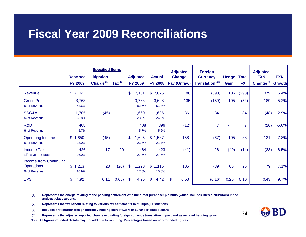#### **Fiscal Year 2009 Reconciliations**

|                                                             |                  | <b>Specified Items</b> |              |                |                 |                      | <b>Adjusted</b> | <b>Foreign</b>             |       |              | <b>Adjusted</b>              |            |
|-------------------------------------------------------------|------------------|------------------------|--------------|----------------|-----------------|----------------------|-----------------|----------------------------|-------|--------------|------------------------------|------------|
|                                                             | <b>Reported</b>  | <b>Litigation</b>      |              |                | <b>Adjusted</b> | <b>Actual</b>        | <b>Change</b>   | <b>Currency</b>            | Hedge | <b>Total</b> | <b>FXN</b>                   | <b>FXN</b> |
|                                                             | <b>FY 2009</b>   | Charge $(1)$           | Tax $^{(2)}$ |                | <b>FY 2009</b>  | <b>FY 2008</b>       | Fav (Unfav.)    | Translation <sup>(3)</sup> | Gain  | <b>FX</b>    | Change <sup>(4)</sup> Growth |            |
| Revenue                                                     | \$7,161          |                        |              | \$             | 7,161           | \$7,075              | 86              | (398)                      | 105   | (293)        | 379                          | 5.4%       |
| <b>Gross Profit</b><br>% of Revenue                         | 3,763<br>52.6%   |                        |              |                | 3,763<br>52.6%  | 3,628<br>51.3%       | 135             | (159)                      | 105   | (54)         | 189                          | 5.2%       |
| SSG&A<br>% of Revenue                                       | 1,705<br>23.8%   | (45)                   |              |                | 1,660<br>23.2%  | 1,696<br>24.0%       | 36              | 84                         |       | 84           | (48)                         | $-2.9%$    |
| R&D<br>% of Revenue                                         | 408<br>5.7%      |                        |              |                | 408<br>5.7%     | 396<br>5.6%          | (12)            | 7                          |       |              | (20)                         | $-5.0%$    |
| <b>Operating Income</b><br>% of Revenue                     | \$1,650<br>23.0% | (45)                   |              | \$             | ,695<br>23.7%   | \$1,537<br>21.7%     | 158             | (67)                       | 105   | 38           | 121                          | 7.8%       |
| <b>Income Tax</b><br><b>Effective Tax Rate</b>              | 426<br>26.0%     | 17                     | 20           |                | 464<br>27.5%    | 423<br>27.5%         | (41)            | 26                         | (40)  | (14)         | (28)                         | $-6.5%$    |
| Income from Continuing<br><b>Operations</b><br>% of Revenue | \$1,213<br>16.9% | 28                     | (20)         | $\mathfrak{S}$ | 1,220<br>17.0%  | 1,116<br>\$<br>15.8% | 105             | (39)                       | 65    | 26           | 79                           | 7.1%       |
| <b>EPS</b>                                                  | \$<br>4.92       | 0.11                   | (0.08)       | $\mathfrak{S}$ | 4.95            | 4.42<br>\$           | 0.53<br>\$.     | (0.16)                     | 0.26  | 0.10         | 0.43                         | 9.7%       |

**(1) Represents the charge relating to the pending settlement with the direct purchaser plaintiffs (which includes BD's distributors) in the antitrust class actions.**

**(2) Represents the tax benefit relating to various tax settlements in multiple jurisdictions.**

**(3) Includes first quarter foreign currency holding gain of \$35M or \$0.09 per diluted share.**

**(4) Represents the adjusted reported change excluding foreign currency translation impact and associated hedging gains.**

**Note: All figures rounded. Totals may not add due to rounding. Percentages based on non-rounded figures.**